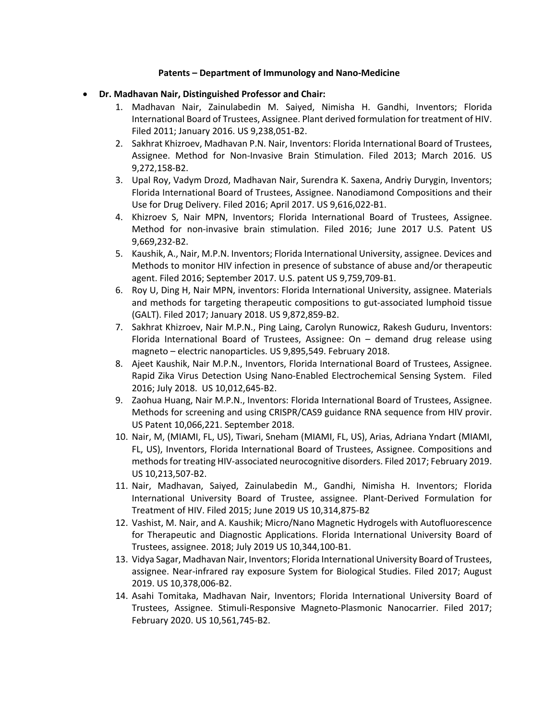## **Patents – Department of Immunology and Nano-Medicine**

- **Dr. Madhavan Nair, Distinguished Professor and Chair:**
	- 1. Madhavan Nair, Zainulabedin M. Saiyed, Nimisha H. Gandhi, Inventors; Florida International Board of Trustees, Assignee. Plant derived formulation for treatment of HIV. Filed 2011; January 2016. US 9,238,051-B2.
	- 2. Sakhrat Khizroev, Madhavan P.N. Nair, Inventors: Florida International Board of Trustees, Assignee. Method for Non-Invasive Brain Stimulation. Filed 2013; March 2016. US 9,272,158-B2.
	- 3. Upal Roy, Vadym Drozd, Madhavan Nair, Surendra K. Saxena, Andriy Durygin, Inventors; Florida International Board of Trustees, Assignee. Nanodiamond Compositions and their Use for Drug Delivery. Filed 2016; April 2017. US 9,616,022-B1.
	- 4. Khizroev S, Nair MPN, Inventors; Florida International Board of Trustees, Assignee. Method for non-invasive brain stimulation. Filed 2016; June 2017 U.S. Patent US 9,669,232-B2.
	- 5. Kaushik, A., Nair, M.P.N. Inventors; Florida International University, assignee. Devices and Methods to monitor HIV infection in presence of substance of abuse and/or therapeutic agent. Filed 2016; September 2017. U.S. patent US 9,759,709-B1.
	- 6. Roy U, Ding H, Nair MPN, inventors: Florida International University, assignee. Materials and methods for targeting therapeutic compositions to gut-associated lumphoid tissue (GALT). Filed 2017; January 2018. US 9,872,859-B2.
	- 7. Sakhrat Khizroev, Nair M.P.N., Ping Laing, Carolyn Runowicz, Rakesh Guduru, Inventors: Florida International Board of Trustees, Assignee: On – demand drug release using magneto – electric nanoparticles. US 9,895,549. February 2018.
	- 8. Ajeet Kaushik, Nair M.P.N., Inventors, Florida International Board of Trustees, Assignee. Rapid Zika Virus Detection Using Nano-Enabled Electrochemical Sensing System. Filed 2016; July 2018. US 10,012,645-B2.
	- 9. Zaohua Huang, Nair M.P.N., Inventors: Florida International Board of Trustees, Assignee. Methods for screening and using CRISPR/CAS9 guidance RNA sequence from HIV provir. US Patent 10,066,221. September 2018.
	- 10. Nair, M, (MIAMI, FL, US), Tiwari, Sneham (MIAMI, FL, US), Arias, Adriana Yndart (MIAMI, FL, US), Inventors, Florida International Board of Trustees, Assignee. Compositions and methods for treating HIV-associated neurocognitive disorders. Filed 2017; February 2019. US 10,213,507-B2.
	- 11. Nair, Madhavan, Saiyed, Zainulabedin M., Gandhi, Nimisha H. Inventors; Florida International University Board of Trustee, assignee. Plant-Derived Formulation for Treatment of HIV. Filed 2015; June 2019 US 10,314,875-B2
	- 12. Vashist, M. Nair, and A. Kaushik; Micro/Nano Magnetic Hydrogels with Autofluorescence for Therapeutic and Diagnostic Applications. Florida International University Board of Trustees, assignee. 2018; July 2019 US 10,344,100-B1.
	- 13. Vidya Sagar, Madhavan Nair, Inventors; Florida International University Board of Trustees, assignee. Near-infrared ray exposure System for Biological Studies. Filed 2017; August 2019. US 10,378,006-B2.
	- 14. Asahi Tomitaka, Madhavan Nair, Inventors; Florida International University Board of Trustees, Assignee. Stimuli-Responsive Magneto-Plasmonic Nanocarrier. Filed 2017; February 2020. US 10,561,745-B2.